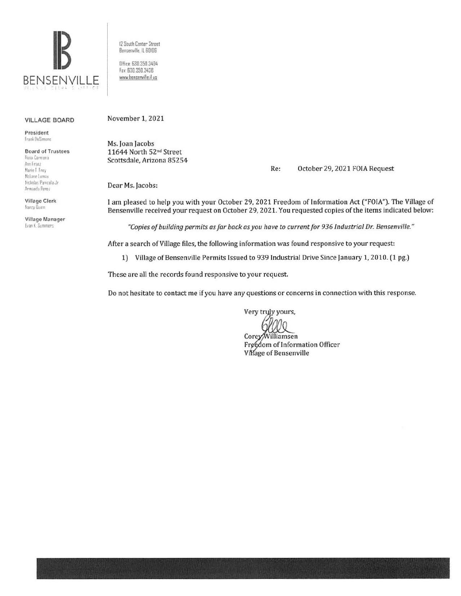

12 South Center Street Bensenville, IL 60106 Dffice: 630.350.3404 Fax: 630.350.3438 www.bensenville.il us

## **VILLAGE BOARD**

President Frank DeSimone

**Board of Trustees** Rosa Carmona Ann Franz Marie T. Frey McLane Lomax Nicholas Panicola Jr. Armando Perez

Village Clerk Nancy Duinn

Village Manager Evan K. Summers

November 1, 2021

Ms. Joan Jacobs 11644 North 52nd Street Scottsdale, Arizona 85254

> Re: October 29, 2021 FOIA Request

Dear Ms. Jacobs:

I am pleased to help you with your October 29, 2021 Freedom of Information Act ("FOIA"). The Village of Bensenville received your request on October 29, 2021. You requested copies of the items indicated below:

"Copies of building permits as far back as you have to current for 936 Industrial Dr. Bensenville."

After a search of Village files, the following information was found responsive to your request:

1) Village of Bensenville Permits Issued to 939 Industrial Drive Since January 1, 2010. (1 pg.)

These are all the records found responsive to your request.

Do not hesitate to contact me if you have any questions or concerns in connection with this response.

Very truly yours,

Corey/Williamsen Freedom of Information Officer Village of Bensenville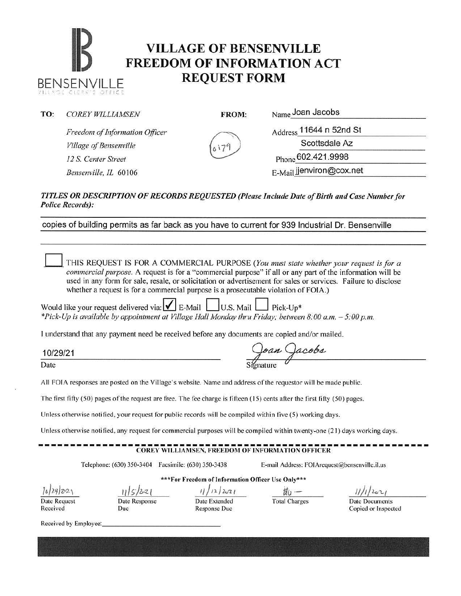## **IB VILLAGE OF BENSENVILLE**<br>**FREEDOM OF INFORMATION A**<br>**REQUEST FORM FREEDOM OF INFORMATION ACT**  BENSENVILLE **REQUEST FORM**

TO: *COREY WILLIAMSEN* FROM: Name Joan Jacobs

 $1111456$  cleakes office

*Freedom of Information Officer Village of Bensenville 12* S. *Center Street*  Bensenville, IL 60106

Address 11644 n 52nd St Scottsdale Az

Phone 602.421.9998

E-Mail jjenviron@cox.net

## *TITLES OR DESCRIPTION OF RECORDS REQUESTED (Please Include Date of Birth and Case Number for Police Records):*

copies of building permits as far back as you have to current for 939 Industrial Dr. Bensenville

0 THIS REQUEST IS FOR A COMMERCIAL PURPOSE *(You must state whether your request is for a commercial purpose.* A request is for a "commercial purpose" if all or any part of the information will be used in any form for sale, resale, or solicitation or advertisement for sales or services. Failure to disclose whether a request is for a commercial purpose is a prosecutable violation of FOIA.) Would like your request delivered via:  $\blacksquare$  E-Mail  $\blacksquare$  U.S. Mail  $\blacksquare$  Pick-Up\* *\*Pick-Up is available by appointment at Village Hall Monday thru Friday; between 8:00a.m. -5:00p.m.*  I understand that any payment need be received before any documents are copied and/or mailed. 10/29/21 Date Signature All FOIA responses are posted on the Village's website. Name and address of the requestor will be made public. The first fifty  $(50)$  pages of the request are free. The fee charge is fifteen  $(15)$  cents after the first fifty  $(50)$  pages. Unless otherwise notified, your request for public records will be compiled within five (5) working days. Unless otherwise notified, any request for commercial purposes will be compiled within twenty-one (21) days working days. ------------------------------------------------------------- COREY WILLIAMSEN, FREEDOM OF INFORMATION OFFICER Telephone: (630) 350-3404 Facsimile: (630) 350-3438 E-mail Address: FOIArcquest@bensenville.il.us \*\*For Freedom of Information Officer Use Only\*\*\*  $\frac{1}{5/2}$ z<sub>(</sub> , 1)/ $\frac{1}{2}$   $\frac{1}{2}$   $\frac{1}{2}$   $\frac{1}{2}$   $\frac{1}{2}$   $\frac{1}{2}$   $\frac{1}{2}$   $\frac{1}{2}$   $\frac{1}{2}$   $\frac{1}{2}$   $\frac{1}{2}$   $\frac{1}{2}$   $\frac{1}{2}$   $\frac{1}{2}$   $\frac{1}{2}$   $\frac{1}{2}$   $\frac{1}{2}$   $\frac{1}{2}$   $\frac{1}{2}$   $\frac{1}{2}$  *l6/2Jf}ZJ'2.,*  Date Extended Total Charges Date Documents Date Response Date Request Received Due Response Due Copied or Inspected Received by Employee: